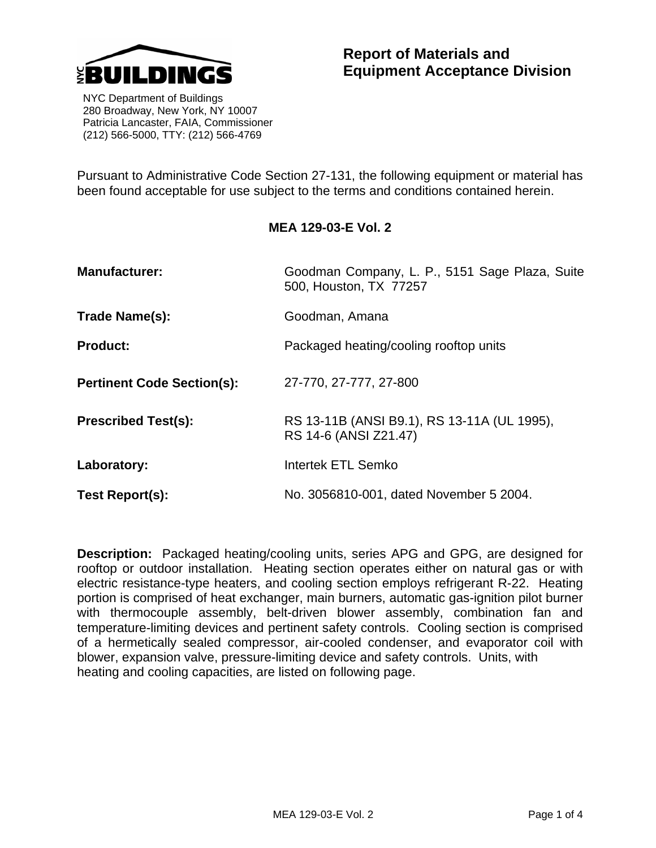

 NYC Department of Buildings 280 Broadway, New York, NY 10007 Patricia Lancaster, FAIA, Commissioner (212) 566-5000, TTY: (212) 566-4769

Pursuant to Administrative Code Section 27-131, the following equipment or material has been found acceptable for use subject to the terms and conditions contained herein.

## **MEA 129-03-E Vol. 2**

| <b>Manufacturer:</b>              | Goodman Company, L. P., 5151 Sage Plaza, Suite<br>500, Houston, TX 77257 |  |  |  |  |
|-----------------------------------|--------------------------------------------------------------------------|--|--|--|--|
| Trade Name(s):                    | Goodman, Amana                                                           |  |  |  |  |
| <b>Product:</b>                   | Packaged heating/cooling rooftop units                                   |  |  |  |  |
| <b>Pertinent Code Section(s):</b> | 27-770, 27-777, 27-800                                                   |  |  |  |  |
| <b>Prescribed Test(s):</b>        | RS 13-11B (ANSI B9.1), RS 13-11A (UL 1995),<br>RS 14-6 (ANSI Z21.47)     |  |  |  |  |
| Laboratory:                       | Intertek ETL Semko                                                       |  |  |  |  |
| Test Report(s):                   | No. 3056810-001, dated November 5 2004.                                  |  |  |  |  |

**Description:** Packaged heating/cooling units, series APG and GPG, are designed for rooftop or outdoor installation. Heating section operates either on natural gas or with electric resistance-type heaters, and cooling section employs refrigerant R-22. Heating portion is comprised of heat exchanger, main burners, automatic gas-ignition pilot burner with thermocouple assembly, belt-driven blower assembly, combination fan and temperature-limiting devices and pertinent safety controls. Cooling section is comprised of a hermetically sealed compressor, air-cooled condenser, and evaporator coil with blower, expansion valve, pressure-limiting device and safety controls. Units, with heating and cooling capacities, are listed on following page.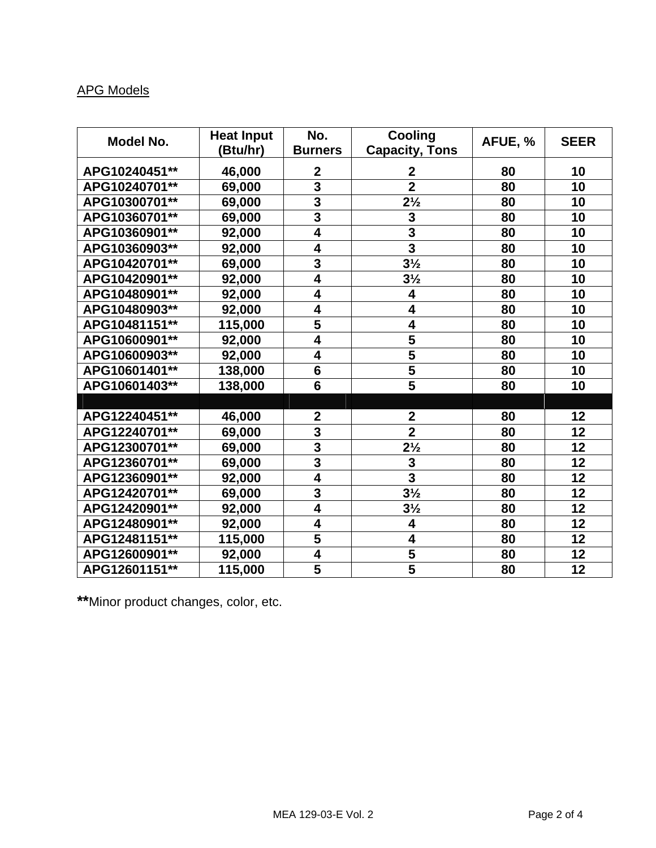## APG Models

| Model No.     | <b>Heat Input</b> | No.                     | <b>Cooling</b>          | AFUE, % | <b>SEER</b> |
|---------------|-------------------|-------------------------|-------------------------|---------|-------------|
|               | (Btu/hr)          | <b>Burners</b>          | <b>Capacity, Tons</b>   |         |             |
| APG10240451** | 46,000            | $\boldsymbol{2}$        | $\mathbf 2$             | 80      | 10          |
| APG10240701** | 69,000            | $\overline{3}$          | $\overline{2}$          | 80      | 10          |
| APG10300701** | 69,000            | $\overline{\mathbf{3}}$ | $2\frac{1}{2}$          | 80      | 10          |
| APG10360701** | 69,000            | $\overline{3}$          | $\mathbf{3}$            | 80      | 10          |
| APG10360901** | 92,000            | 4                       | 3                       | 80      | 10          |
| APG10360903** | 92,000            | $\overline{\mathbf{4}}$ | 3                       | 80      | 10          |
| APG10420701** | 69,000            | 3                       | $3\frac{1}{2}$          | 80      | 10          |
| APG10420901** | 92,000            | $\overline{4}$          | $3\frac{1}{2}$          | 80      | 10          |
| APG10480901** | 92,000            | $\overline{\mathbf{4}}$ | 4                       | 80      | 10          |
| APG10480903** | 92,000            | $\overline{\mathbf{4}}$ | 4                       | 80      | 10          |
| APG10481151** | 115,000           | $\overline{\mathbf{5}}$ | 4                       | 80      | 10          |
| APG10600901** | 92,000            | 4                       | 5                       | 80      | 10          |
| APG10600903** | 92,000            | $\overline{\mathbf{4}}$ | $\overline{\mathbf{5}}$ | 80      | 10          |
| APG10601401** | 138,000           | $6\phantom{1}$          | 5                       | 80      | 10          |
| APG10601403** | 138,000           | $6\phantom{1}6$         | 5                       | 80      | 10          |
|               |                   |                         |                         |         |             |
| APG12240451** | 46,000            | $\mathbf{2}$            | $\mathbf{2}$            | 80      | 12          |
| APG12240701** | 69,000            | 3                       | $\overline{2}$          | 80      | 12          |
| APG12300701** | 69,000            | $\overline{\mathbf{3}}$ | $2\frac{1}{2}$          | 80      | 12          |
| APG12360701** | 69,000            | $\overline{3}$          | 3                       | 80      | 12          |
| APG12360901** | 92,000            | $\overline{4}$          | $\overline{\mathbf{3}}$ | 80      | 12          |
| APG12420701** | 69,000            | 3                       | $3\frac{1}{2}$          | 80      | 12          |
| APG12420901** | 92,000            | 4                       | $3\frac{1}{2}$          | 80      | 12          |
| APG12480901** | 92,000            | 4                       | 4                       | 80      | 12          |
| APG12481151** | 115,000           | 5                       | 4                       | 80      | 12          |
| APG12600901** | 92,000            | $\overline{\mathbf{4}}$ | $\overline{\mathbf{5}}$ | 80      | 12          |
| APG12601151** | 115,000           | 5                       | $\overline{\mathbf{5}}$ | 80      | 12          |

**\*\***Minor product changes, color, etc.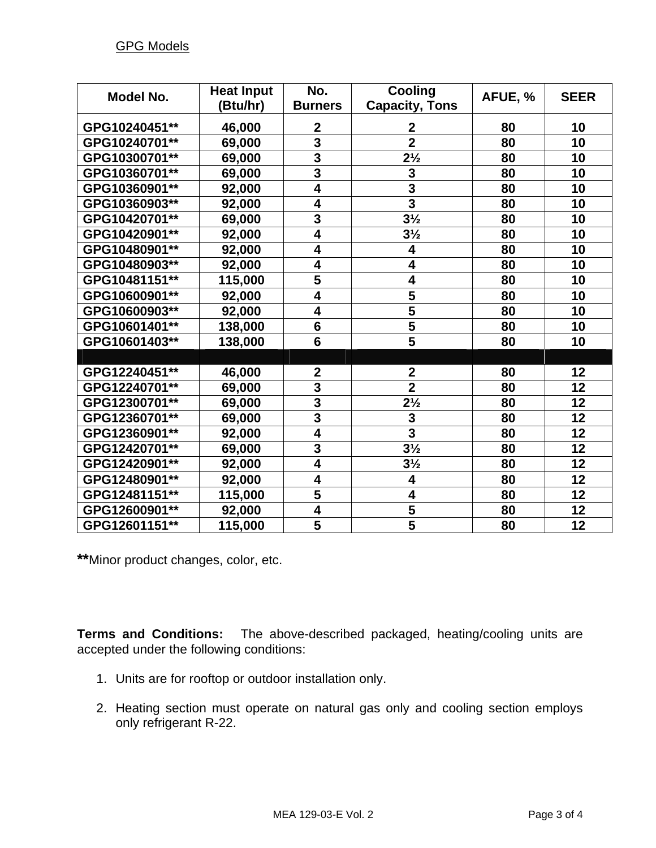| <b>Model No.</b> | <b>Heat Input</b> | No.                     | <b>Cooling</b>          | AFUE, % | <b>SEER</b> |
|------------------|-------------------|-------------------------|-------------------------|---------|-------------|
|                  | (Btu/hr)          | <b>Burners</b>          | <b>Capacity, Tons</b>   |         |             |
| GPG10240451**    | 46,000            | $\boldsymbol{2}$        | $\boldsymbol{2}$        | 80      | 10          |
| GPG10240701**    | 69,000            | $\overline{\mathbf{3}}$ | $\overline{2}$          | 80      | 10          |
| GPG10300701**    | 69,000            | $\overline{\mathbf{3}}$ | $2\frac{1}{2}$          | 80      | 10          |
| GPG10360701**    | 69,000            | $\overline{\mathbf{3}}$ | 3                       | 80      | 10          |
| GPG10360901**    | 92,000            | 4                       | 3                       | 80      | 10          |
| GPG10360903**    | 92,000            | $\overline{\mathbf{4}}$ | $\overline{\mathbf{3}}$ | 80      | 10          |
| GPG10420701**    | 69,000            | $\overline{\mathbf{3}}$ | $3\frac{1}{2}$          | 80      | 10          |
| GPG10420901**    | 92,000            | $\overline{\mathbf{4}}$ | $3\frac{1}{2}$          | 80      | 10          |
| GPG10480901**    | 92,000            | 4                       | 4                       | 80      | 10          |
| GPG10480903**    | 92,000            | 4                       | 4                       | 80      | 10          |
| GPG10481151**    | 115,000           | 5                       | 4                       | 80      | 10          |
| GPG10600901**    | 92,000            | $\overline{\mathbf{4}}$ | 5                       | 80      | 10          |
| GPG10600903**    | 92,000            | $\overline{\mathbf{4}}$ | $\overline{\mathbf{5}}$ | 80      | 10          |
| GPG10601401**    | 138,000           | $6\phantom{1}$          | $\overline{\mathbf{5}}$ | 80      | 10          |
| GPG10601403**    | 138,000           | $\overline{\mathbf{6}}$ | $\overline{5}$          | 80      | 10          |
|                  |                   |                         |                         |         |             |
| GPG12240451**    | 46,000            | $\mathbf{2}$            | $\mathbf{2}$            | 80      | 12          |
| GPG12240701**    | 69,000            | 3                       | $\overline{\mathbf{2}}$ | 80      | 12          |
| GPG12300701**    | 69,000            | $\overline{\mathbf{3}}$ | $2\frac{1}{2}$          | 80      | 12          |
| GPG12360701**    | 69,000            | $\overline{\mathbf{3}}$ | 3                       | 80      | 12          |
| GPG12360901**    | 92,000            | $\overline{\mathbf{4}}$ | $\overline{\mathbf{3}}$ | 80      | 12          |
| GPG12420701**    | 69,000            | $\overline{\mathbf{3}}$ | $3\frac{1}{2}$          | 80      | 12          |
| GPG12420901**    | 92,000            | $\overline{\mathbf{4}}$ | $3\frac{1}{2}$          | 80      | 12          |
| GPG12480901**    | 92,000            | $\overline{\mathbf{4}}$ | 4                       | 80      | 12          |
| GPG12481151**    | 115,000           | 5                       | 4                       | 80      | 12          |
| GPG12600901**    | 92,000            | $\overline{\mathbf{4}}$ | 5                       | 80      | 12          |
| GPG12601151**    | 115,000           | 5                       | $\overline{\mathbf{5}}$ | 80      | 12          |

**\*\***Minor product changes, color, etc.

**Terms and Conditions:** The above-described packaged, heating/cooling units are accepted under the following conditions:

- 1. Units are for rooftop or outdoor installation only.
- 2. Heating section must operate on natural gas only and cooling section employs only refrigerant R-22.